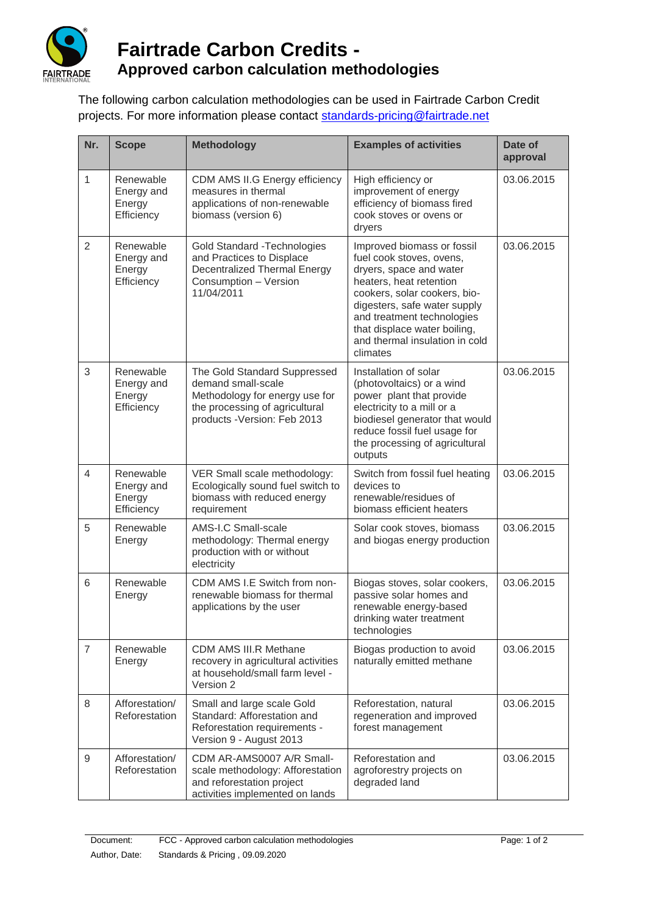

## **Fairtrade Carbon Credits - Approved carbon calculation methodologies**

The following carbon calculation methodologies can be used in Fairtrade Carbon Credit projects. For more information please contact [standards-pricing@fairtrade.net](mailto:standards-pricing@fairtrade.net)

| Nr.            | <b>Scope</b>                                    | <b>Methodology</b>                                                                                                                                     | <b>Examples of activities</b>                                                                                                                                                                                                                                                            | Date of<br>approval |
|----------------|-------------------------------------------------|--------------------------------------------------------------------------------------------------------------------------------------------------------|------------------------------------------------------------------------------------------------------------------------------------------------------------------------------------------------------------------------------------------------------------------------------------------|---------------------|
| $\mathbf{1}$   | Renewable<br>Energy and<br>Energy<br>Efficiency | CDM AMS II.G Energy efficiency<br>measures in thermal<br>applications of non-renewable<br>biomass (version 6)                                          | High efficiency or<br>improvement of energy<br>efficiency of biomass fired<br>cook stoves or ovens or<br>dryers                                                                                                                                                                          | 03.06.2015          |
| $\overline{2}$ | Renewable<br>Energy and<br>Energy<br>Efficiency | Gold Standard - Technologies<br>and Practices to Displace<br><b>Decentralized Thermal Energy</b><br>Consumption - Version<br>11/04/2011                | Improved biomass or fossil<br>fuel cook stoves, ovens,<br>dryers, space and water<br>heaters, heat retention<br>cookers, solar cookers, bio-<br>digesters, safe water supply<br>and treatment technologies<br>that displace water boiling,<br>and thermal insulation in cold<br>climates | 03.06.2015          |
| 3              | Renewable<br>Energy and<br>Energy<br>Efficiency | The Gold Standard Suppressed<br>demand small-scale<br>Methodology for energy use for<br>the processing of agricultural<br>products - Version: Feb 2013 | Installation of solar<br>(photovoltaics) or a wind<br>power plant that provide<br>electricity to a mill or a<br>biodiesel generator that would<br>reduce fossil fuel usage for<br>the processing of agricultural<br>outputs                                                              | 03.06.2015          |
| $\overline{4}$ | Renewable<br>Energy and<br>Energy<br>Efficiency | VER Small scale methodology:<br>Ecologically sound fuel switch to<br>biomass with reduced energy<br>requirement                                        | Switch from fossil fuel heating<br>devices to<br>renewable/residues of<br>biomass efficient heaters                                                                                                                                                                                      | 03.06.2015          |
| 5              | Renewable<br>Energy                             | AMS-I.C Small-scale<br>methodology: Thermal energy<br>production with or without<br>electricity                                                        | Solar cook stoves, biomass<br>and biogas energy production                                                                                                                                                                                                                               | 03.06.2015          |
| 6              | Renewable<br>Energy                             | CDM AMS I.E Switch from non-<br>renewable biomass for thermal<br>applications by the user                                                              | Biogas stoves, solar cookers,<br>passive solar homes and<br>renewable energy-based<br>drinking water treatment<br>technologies                                                                                                                                                           | 03.06.2015          |
| $\overline{7}$ | Renewable<br>Energy                             | CDM AMS III.R Methane<br>recovery in agricultural activities<br>at household/small farm level -<br>Version 2                                           | Biogas production to avoid<br>naturally emitted methane                                                                                                                                                                                                                                  | 03.06.2015          |
| 8              | Afforestation/<br>Reforestation                 | Small and large scale Gold<br>Standard: Afforestation and<br>Reforestation requirements -<br>Version 9 - August 2013                                   | Reforestation, natural<br>regeneration and improved<br>forest management                                                                                                                                                                                                                 | 03.06.2015          |
| $\mathsf g$    | Afforestation/<br>Reforestation                 | CDM AR-AMS0007 A/R Small-<br>scale methodology: Afforestation<br>and reforestation project<br>activities implemented on lands                          | Reforestation and<br>agroforestry projects on<br>degraded land                                                                                                                                                                                                                           | 03.06.2015          |